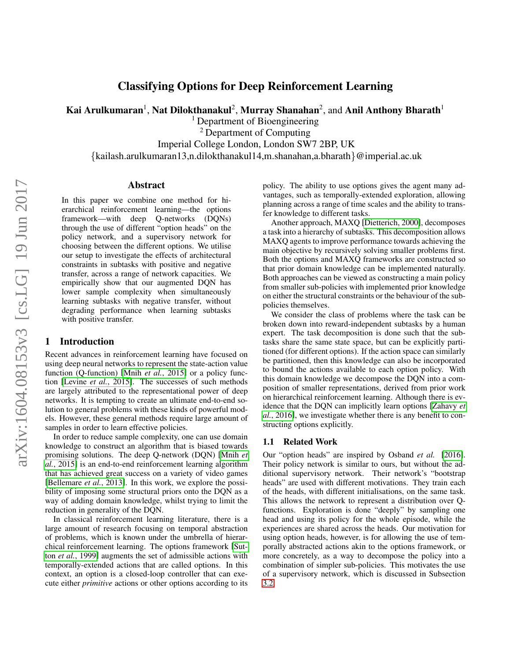# Classifying Options for Deep Reinforcement Learning

Kai Arulkumaran $^1$ , Nat Dilokthanakul $^2$ , Murray Shanahan $^2$ , and Anil Anthony Bharath $^1$ 

<sup>1</sup> Department of Bioengineering

<sup>2</sup> Department of Computing

Imperial College London, London SW7 2BP, UK

{kailash.arulkumaran13,n.dilokthanakul14,m.shanahan,a.bharath}@imperial.ac.uk

#### Abstract

In this paper we combine one method for hierarchical reinforcement learning—the options framework—with deep Q-networks (DQNs) through the use of different "option heads" on the policy network, and a supervisory network for choosing between the different options. We utilise our setup to investigate the effects of architectural constraints in subtasks with positive and negative transfer, across a range of network capacities. We empirically show that our augmented DQN has lower sample complexity when simultaneously learning subtasks with negative transfer, without degrading performance when learning subtasks with positive transfer.

#### 1 Introduction

Recent advances in reinforcement learning have focused on using deep neural networks to represent the state-action value function (Q-function) [Mnih *et al.*[, 2015\]](#page-5-0) or a policy function [\[Levine](#page-5-1) *et al.*, 2015]. The successes of such methods are largely attributed to the representational power of deep networks. It is tempting to create an ultimate end-to-end solution to general problems with these kinds of powerful models. However, these general methods require large amount of samples in order to learn effective policies.

In order to reduce sample complexity, one can use domain knowledge to construct an algorithm that is biased towards promising solutions. The deep Q-network (DQN) [\[Mnih](#page-5-0) *et al.*[, 2015\]](#page-5-0) is an end-to-end reinforcement learning algorithm that has achieved great success on a variety of video games [\[Bellemare](#page-4-0) *et al.*, 2013]. In this work, we explore the possibility of imposing some structural priors onto the DQN as a way of adding domain knowledge, whilst trying to limit the reduction in generality of the DQN.

In classical reinforcement learning literature, there is a large amount of research focusing on temporal abstraction of problems, which is known under the umbrella of hierarchical reinforcement learning. The options framework [\[Sut](#page-5-2)ton *et al.*[, 1999\]](#page-5-2) augments the set of admissible actions with temporally-extended actions that are called options. In this context, an option is a closed-loop controller that can execute either *primitive* actions or other options according to its policy. The ability to use options gives the agent many advantages, such as temporally-extended exploration, allowing planning across a range of time scales and the ability to transfer knowledge to different tasks.

Another approach, MAXQ [\[Dietterich, 2000\]](#page-4-1), decomposes a task into a hierarchy of subtasks. This decomposition allows MAXQ agents to improve performance towards achieving the main objective by recursively solving smaller problems first. Both the options and MAXQ frameworks are constructed so that prior domain knowledge can be implemented naturally. Both approaches can be viewed as constructing a main policy from smaller sub-policies with implemented prior knowledge on either the structural constraints or the behaviour of the subpolicies themselves.

We consider the class of problems where the task can be broken down into reward-independent subtasks by a human expert. The task decomposition is done such that the subtasks share the same state space, but can be explicitly partitioned (for different options). If the action space can similarly be partitioned, then this knowledge can also be incorporated to bound the actions available to each option policy. With this domain knowledge we decompose the DQN into a composition of smaller representations, derived from prior work on hierarchical reinforcement learning. Although there is evidence that the DQN can implicitly learn options [\[Zahavy](#page-5-3) *et al.*[, 2016\]](#page-5-3), we investigate whether there is any benefit to constructing options explicitly.

#### 1.1 Related Work

Our "option heads" are inspired by Osband *et al.* [\[2016\]](#page-5-4). Their policy network is similar to ours, but without the additional supervisory network. Their network's "bootstrap heads" are used with different motivations. They train each of the heads, with different initialisations, on the same task. This allows the network to represent a distribution over Qfunctions. Exploration is done "deeply" by sampling one head and using its policy for the whole episode, while the experiences are shared across the heads. Our motivation for using option heads, however, is for allowing the use of temporally abstracted actions akin to the options framework, or more concretely, as a way to decompose the policy into a combination of simpler sub-policies. This motivates the use of a supervisory network, which is discussed in Subsection [3.2.](#page-2-0)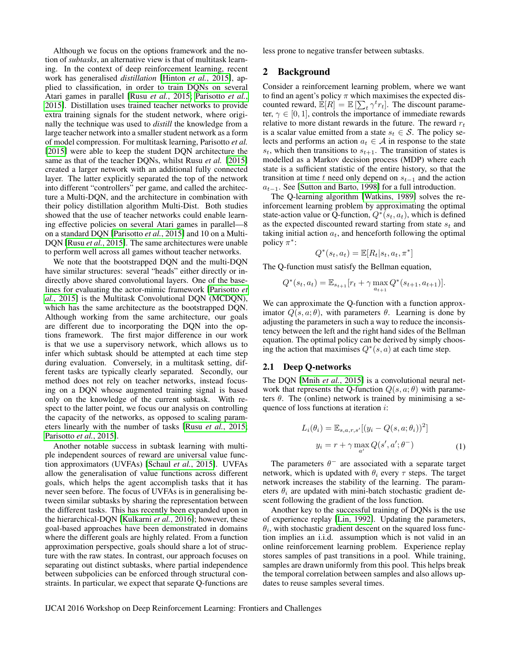Although we focus on the options framework and the notion of *subtasks*, an alternative view is that of multitask learning. In the context of deep reinforcement learning, recent work has generalised *distillation* [\[Hinton](#page-4-2) *et al.*, 2015], applied to classification, in order to train DQNs on several Atari games in parallel [Rusu *et al.*[, 2015;](#page-5-5) [Parisotto](#page-5-6) *et al.*, [2015\]](#page-5-6). Distillation uses trained teacher networks to provide extra training signals for the student network, where originally the technique was used to *distill* the knowledge from a large teacher network into a smaller student network as a form of model compression. For multitask learning, Parisotto *et al.* [\[2015\]](#page-5-6) were able to keep the student DQN architecture the same as that of the teacher DQNs, whilst Rusu *et al.* [\[2015\]](#page-5-5) created a larger network with an additional fully connected layer. The latter explicitly separated the top of the network into different "controllers" per game, and called the architecture a Multi-DQN, and the architecture in combination with their policy distillation algorithm Multi-Dist. Both studies showed that the use of teacher networks could enable learning effective policies on several Atari games in parallel—8 on a standard DQN [\[Parisotto](#page-5-6) *et al.*, 2015] and 10 on a Multi-DQN [Rusu *et al.*[, 2015\]](#page-5-5). The same architectures were unable to perform well across all games without teacher networks.

We note that the bootstrapped DQN and the multi-DQN have similar structures: several "heads" either directly or indirectly above shared convolutional layers. One of the baselines for evaluating the actor-mimic framework [\[Parisotto](#page-5-6) *et al.*[, 2015\]](#page-5-6) is the Multitask Convolutional DQN (MCDQN), which has the same architecture as the bootstrapped DQN. Although working from the same architecture, our goals are different due to incorporating the DQN into the options framework. The first major difference in our work is that we use a supervisory network, which allows us to infer which subtask should be attempted at each time step during evaluation. Conversely, in a multitask setting, different tasks are typically clearly separated. Secondly, our method does not rely on teacher networks, instead focusing on a DQN whose augmented training signal is based only on the knowledge of the current subtask. With respect to the latter point, we focus our analysis on controlling the capacity of the networks, as opposed to scaling parameters linearly with the number of tasks [Rusu *et al.*[, 2015;](#page-5-5) [Parisotto](#page-5-6) *et al.*, 2015].

Another notable success in subtask learning with multiple independent sources of reward are universal value function approximators (UVFAs) [\[Schaul](#page-5-7) *et al.*, 2015]. UVFAs allow the generalisation of value functions across different goals, which helps the agent accomplish tasks that it has never seen before. The focus of UVFAs is in generalising between similar subtasks by sharing the representation between the different tasks. This has recently been expanded upon in the hierarchical-DQN [\[Kulkarni](#page-5-8) *et al.*, 2016]; however, these goal-based approaches have been demonstrated in domains where the different goals are highly related. From a function approximation perspective, goals should share a lot of structure with the raw states. In contrast, our approach focuses on separating out distinct subtasks, where partial independence between subpolicies can be enforced through structural constraints. In particular, we expect that separate Q-functions are less prone to negative transfer between subtasks.

#### 2 Background

Consider a reinforcement learning problem, where we want to find an agent's policy  $\pi$  which maximises the expected discounted reward,  $\mathbb{E}[R] = \mathbb{E}[\sum_t \gamma^t r_t]$ . The discount parameter,  $\gamma \in [0, 1]$ , controls the importance of immediate rewards relative to more distant rewards in the future. The reward  $r_t$ is a scalar value emitted from a state  $s_t \in S$ . The policy selects and performs an action  $a_t \in A$  in response to the state  $s_t$ , which then transitions to  $s_{t+1}$ . The transition of states is modelled as a Markov decision process (MDP) where each state is a sufficient statistic of the entire history, so that the transition at time t need only depend on  $s_{t-1}$  and the action  $a_{t-1}$ . See [\[Sutton and Barto, 1998\]](#page-5-9) for a full introduction.

The Q-learning algorithm [\[Watkins, 1989\]](#page-5-10) solves the reinforcement learning problem by approximating the optimal state-action value or Q-function,  $Q^*(s_t, a_t)$ , which is defined as the expected discounted reward starting from state  $s_t$  and taking initial action  $a_t$ , and henceforth following the optimal policy  $\pi^*$ :

$$
Q^*(s_t, a_t) = \mathbb{E}[R_t|s_t, a_t, \pi^*]
$$

The Q-function must satisfy the Bellman equation,

$$
Q^*(s_t, a_t) = \mathbb{E}_{s_{t+1}}[r_t + \gamma \max_{a_{t+1}} Q^*(s_{t+1}, a_{t+1})].
$$

We can approximate the Q-function with a function approximator  $Q(s, a; \theta)$ , with parameters  $\theta$ . Learning is done by adjusting the parameters in such a way to reduce the inconsistency between the left and the right hand sides of the Bellman equation. The optimal policy can be derived by simply choosing the action that maximises  $Q^*(s, a)$  at each time step.

#### 2.1 Deep Q-networks

The DQN [Mnih *et al.*[, 2015\]](#page-5-0) is a convolutional neural network that represents the Q-function  $Q(s, a; \theta)$  with parameters  $\theta$ . The (online) network is trained by minimising a sequence of loss functions at iteration *i*:

<span id="page-1-0"></span>
$$
L_i(\theta_i) = \mathbb{E}_{s,a,r,s'}[(y_i - Q(s,a;\theta_i))^2]
$$

$$
y_i = r + \gamma \max_{a'} Q(s',a';\theta^-)
$$
(1)

The parameters  $\theta^-$  are associated with a separate target network, which is updated with  $\theta_i$  every  $\tau$  steps. The target network increases the stability of the learning. The parameters  $\theta_i$  are updated with mini-batch stochastic gradient descent following the gradient of the loss function.

Another key to the successful training of DQNs is the use of experience replay [\[Lin, 1992\]](#page-5-11). Updating the parameters,  $\theta_i$ , with stochastic gradient descent on the squared loss function implies an i.i.d. assumption which is not valid in an online reinforcement learning problem. Experience replay stores samples of past transitions in a pool. While training, samples are drawn uniformly from this pool. This helps break the temporal correlation between samples and also allows updates to reuse samples several times.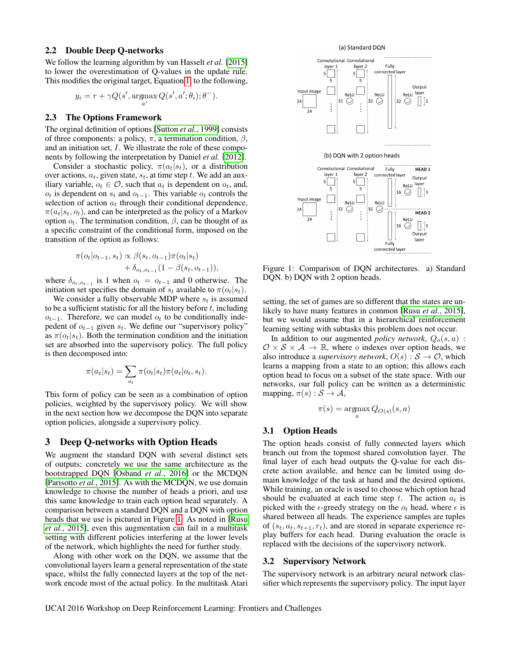#### 2.2 Double Deep Q-networks

We follow the learning algorithm by van Hasselt *et al.* [\[2015\]](#page-5-12) to lower the overestimation of Q-values in the update rule. This modifies the original target, Equation [1,](#page-1-0) to the following,

$$
y_i = r + \gamma Q(s', \operatorname*{argmax}_{a'} Q(s', a'; \theta_i); \theta^{-}).
$$

#### 2.3 The Options Framework

The orginal definition of options [\[Sutton](#page-5-2) *et al.*, 1999] consists of three components: a policy,  $\pi$ , a termination condition,  $\beta$ , and an initiation set, I. We illustrate the role of these components by following the interpretation by Daniel *et al.* [\[2012\]](#page-4-3).

Consider a stochastic policy,  $\pi(a_t|s_t)$ , or a distribution over actions,  $a_t$ , given state,  $s_t$ , at time step t. We add an auxiliary variable,  $o_t \in \mathcal{O}$ , such that  $a_t$  is dependent on  $o_t$ , and,  $o_t$  is dependent on  $s_t$  and  $o_{t-1}$ . This variable  $o_t$  controls the selection of action  $a_t$  through their conditional dependence,  $\pi(a_t|s_t, o_t)$ , and can be interpreted as the policy of a Markov option  $o_t$ . The termination condition,  $\beta$ , can be thought of as a specific constraint of the conditional form, imposed on the transition of the option as follows:

$$
\pi(o_t|o_{t-1}, s_t) \propto \beta(s_t, o_{t-1})\pi(o_t|s_t) + \delta_{o_t, o_{t-1}}(1 - \beta(s_t, o_{t-1})),
$$

where  $\delta_{o_t, o_{t-1}}$  is 1 when  $o_t = o_{t-1}$  and 0 otherwise. The initiation set specifies the domain of  $s_t$  available to  $\pi(o_t|s_t)$ .

We consider a fully observable MDP where  $s_t$  is assumed to be a sufficient statistic for all the history before  $t$ , including  $o_{t-1}$ . Therefore, we can model  $o_t$  to be conditionally indepedent of  $o_{t-1}$  given  $s_t$ . We define our "supervisory policy" as  $\pi(o_t|s_t)$ . Both the termination condition and the initiation set are absorbed into the supervisory policy. The full policy is then decomposed into:

$$
\pi(a_t|s_t) = \sum_{o_t} \pi(o_t|s_t) \pi(a_t|o_t, s_t).
$$

This form of policy can be seen as a combination of option policies, weighted by the supervisory policy. We will show in the next section how we decompose the DQN into separate option policies, alongside a supervisory policy.

#### 3 Deep Q-networks with Option Heads

We augment the standard DQN with several distinct sets of outputs; concretely we use the same architecture as the bootstrapped DQN [\[Osband](#page-5-4) *et al.*, 2016] or the MCDQN [\[Parisotto](#page-5-6) *et al.*, 2015]. As with the MCDQN, we use domain knowledge to choose the number of heads a priori, and use this same knowledge to train each option head separately. A comparison between a standard DQN and a DQN with option heads that we use is pictured in Figure [1.](#page-2-1) As noted in [\[Rusu](#page-5-5) *et al.*[, 2015\]](#page-5-5), even this augmentation can fail in a multitask setting with different policies interfering at the lower levels of the network, which highlights the need for further study.

Along with other work on the DQN, we assume that the convolutional layers learn a general representation of the state space, whilst the fully connected layers at the top of the network encode most of the actual policy. In the multitask Atari





<span id="page-2-1"></span>Figure 1: Comparison of DQN architectures. a) Standard DQN. b) DQN with 2 option heads.

setting, the set of games are so different that the states are unlikely to have many features in common [Rusu *et al.*[, 2015\]](#page-5-5), but we would assume that in a hierarchical reinforcement learning setting with subtasks this problem does not occur.

In addition to our augmented *policy network*,  $Q_o(s, a)$ :  $\mathcal{O} \times \mathcal{S} \times \mathcal{A} \rightarrow \mathbb{R}$ , where *o* indexes over option heads, we also introduce a *supervisory network*,  $O(s) : S \to \mathcal{O}$ , which learns a mapping from a state to an option; this allows each option head to focus on a subset of the state space. With our networks, our full policy can be written as a deterministic mapping,  $\pi(s) : \mathcal{S} \to \mathcal{A}$ ,

$$
\pi(s) = \operatorname*{argmax}_{a} Q_{O(s)}(s, a)
$$

#### 3.1 Option Heads

The option heads consist of fully connected layers which branch out from the topmost shared convolution layer. The final layer of each head outputs the Q-value for each discrete action available, and hence can be limited using domain knowledge of the task at hand and the desired options. While training, an oracle is used to choose which option head should be evaluated at each time step  $t$ . The action  $a_t$  is picked with the  $\epsilon$ -greedy strategy on the  $o_t$  head, where  $\epsilon$  is shared between all heads. The experience samples are tuples of  $(s_t, a_t, s_{t+1}, r_t)$ , and are stored in separate experience replay buffers for each head. During evaluation the oracle is replaced with the decisions of the supervisory network.

#### <span id="page-2-0"></span>3.2 Supervisory Network

The supervisory network is an arbitrary neural network classifier which represents the supervisory policy. The input layer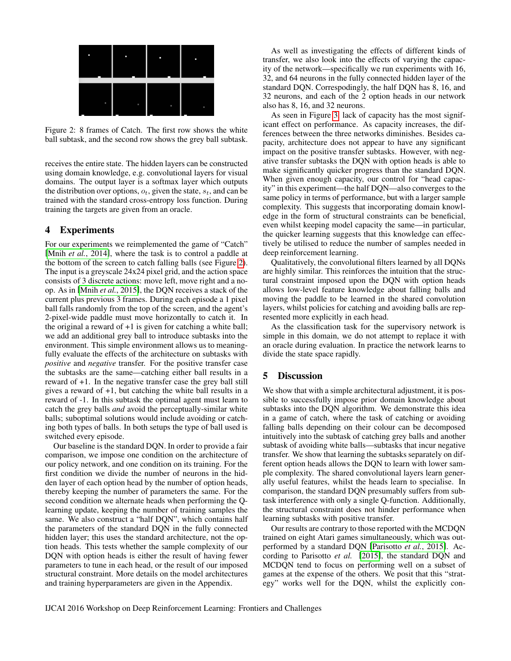| п | п | г | п |
|---|---|---|---|
| п | ٠ | ٠ | ٠ |

<span id="page-3-0"></span>Figure 2: 8 frames of Catch. The first row shows the white ball subtask, and the second row shows the grey ball subtask.

receives the entire state. The hidden layers can be constructed using domain knowledge, e.g. convolutional layers for visual domains. The output layer is a softmax layer which outputs the distribution over options,  $o_t$ , given the state,  $s_t$ , and can be trained with the standard cross-entropy loss function. During training the targets are given from an oracle.

### 4 Experiments

For our experiments we reimplemented the game of "Catch" [Mnih *et al.*[, 2014\]](#page-5-13), where the task is to control a paddle at the bottom of the screen to catch falling balls (see Figure [2\)](#page-3-0). The input is a greyscale 24x24 pixel grid, and the action space consists of 3 discrete actions: move left, move right and a noop. As in [Mnih *et al.*[, 2015\]](#page-5-0), the DQN receives a stack of the current plus previous 3 frames. During each episode a 1 pixel ball falls randomly from the top of the screen, and the agent's 2-pixel-wide paddle must move horizontally to catch it. In the original a reward of  $+1$  is given for catching a white ball; we add an additional grey ball to introduce subtasks into the environment. This simple environment allows us to meaningfully evaluate the effects of the architecture on subtasks with *positive* and *negative* transfer. For the positive transfer case the subtasks are the same—catching either ball results in a reward of +1. In the negative transfer case the grey ball still gives a reward of +1, but catching the white ball results in a reward of -1. In this subtask the optimal agent must learn to catch the grey balls *and* avoid the perceptually-similar white balls; suboptimal solutions would include avoiding or catching both types of balls. In both setups the type of ball used is switched every episode.

Our baseline is the standard DQN. In order to provide a fair comparison, we impose one condition on the architecture of our policy network, and one condition on its training. For the first condition we divide the number of neurons in the hidden layer of each option head by the number of option heads, thereby keeping the number of parameters the same. For the second condition we alternate heads when performing the Qlearning update, keeping the number of training samples the same. We also construct a "half DQN", which contains half the parameters of the standard DQN in the fully connected hidden layer; this uses the standard architecture, not the option heads. This tests whether the sample complexity of our DQN with option heads is either the result of having fewer parameters to tune in each head, or the result of our imposed structural constraint. More details on the model architectures and training hyperparameters are given in the Appendix.

As well as investigating the effects of different kinds of transfer, we also look into the effects of varying the capacity of the network—specifically we run experiments with 16, 32, and 64 neurons in the fully connected hidden layer of the standard DQN. Correspodingly, the half DQN has 8, 16, and 32 neurons, and each of the 2 option heads in our network also has 8, 16, and 32 neurons.

As seen in Figure [3,](#page-4-4) lack of capacity has the most significant effect on performance. As capacity increases, the differences between the three networks diminishes. Besides capacity, architecture does not appear to have any significant impact on the positive transfer subtasks. However, with negative transfer subtasks the DQN with option heads is able to make significantly quicker progress than the standard DQN. When given enough capacity, our control for "head capacity" in this experiment—the half DQN—also converges to the same policy in terms of performance, but with a larger sample complexity. This suggests that incorporating domain knowledge in the form of structural constraints can be beneficial, even whilst keeping model capacity the same—in particular, the quicker learning suggests that this knowledge can effectively be utilised to reduce the number of samples needed in deep reinforcement learning.

Qualitatively, the convolutional filters learned by all DQNs are highly similar. This reinforces the intuition that the structural constraint imposed upon the DQN with option heads allows low-level feature knowledge about falling balls and moving the paddle to be learned in the shared convolution layers, whilst policies for catching and avoiding balls are represented more explicitly in each head.

As the classification task for the supervisory network is simple in this domain, we do not attempt to replace it with an oracle during evaluation. In practice the network learns to divide the state space rapidly.

## 5 Discussion

We show that with a simple architectural adjustment, it is possible to successfully impose prior domain knowledge about subtasks into the DQN algorithm. We demonstrate this idea in a game of catch, where the task of catching or avoiding falling balls depending on their colour can be decomposed intuitively into the subtask of catching grey balls and another subtask of avoiding white balls—subtasks that incur negative transfer. We show that learning the subtasks separately on different option heads allows the DQN to learn with lower sample complexity. The shared convolutional layers learn generally useful features, whilst the heads learn to specialise. In comparison, the standard DQN presumably suffers from subtask interference with only a single Q-function. Additionally, the structural constraint does not hinder performance when learning subtasks with positive transfer.

Our results are contrary to those reported with the MCDQN trained on eight Atari games simultaneously, which was outperformed by a standard DQN [\[Parisotto](#page-5-6) *et al.*, 2015]. According to Parisotto *et al.* [\[2015\]](#page-5-6), the standard DQN and MCDQN tend to focus on performing well on a subset of games at the expense of the others. We posit that this "strategy" works well for the DQN, whilst the explicitly con-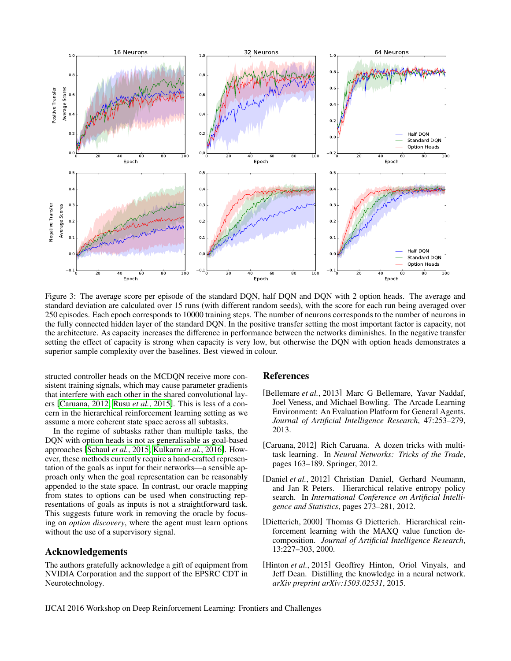

<span id="page-4-4"></span>Figure 3: The average score per episode of the standard DQN, half DQN and DQN with 2 option heads. The average and standard deviation are calculated over 15 runs (with different random seeds), with the score for each run being averaged over 250 episodes. Each epoch corresponds to 10000 training steps. The number of neurons corresponds to the number of neurons in the fully connected hidden layer of the standard DQN. In the positive transfer setting the most important factor is capacity, not the architecture. As capacity increases the difference in performance between the networks diminishes. In the negative transfer setting the effect of capacity is strong when capacity is very low, but otherwise the DQN with option heads demonstrates a superior sample complexity over the baselines. Best viewed in colour.

structed controller heads on the MCDQN receive more consistent training signals, which may cause parameter gradients that interfere with each other in the shared convolutional layers [\[Caruana, 2012;](#page-4-5) Rusu *et al.*[, 2015\]](#page-5-5). This is less of a concern in the hierarchical reinforcement learning setting as we assume a more coherent state space across all subtasks.

In the regime of subtasks rather than multiple tasks, the DQN with option heads is not as generalisable as goal-based approaches [\[Schaul](#page-5-7) *et al.*, 2015; [Kulkarni](#page-5-8) *et al.*, 2016]. However, these methods currently require a hand-crafted representation of the goals as input for their networks—a sensible approach only when the goal representation can be reasonably appended to the state space. In contrast, our oracle mapping from states to options can be used when constructing representations of goals as inputs is not a straightforward task. This suggests future work in removing the oracle by focusing on *option discovery*, where the agent must learn options without the use of a supervisory signal.

#### Acknowledgements

The authors gratefully acknowledge a gift of equipment from NVIDIA Corporation and the support of the EPSRC CDT in Neurotechnology.

#### References

- <span id="page-4-0"></span>[Bellemare *et al.*, 2013] Marc G Bellemare, Yavar Naddaf, Joel Veness, and Michael Bowling. The Arcade Learning Environment: An Evaluation Platform for General Agents. *Journal of Artificial Intelligence Research*, 47:253–279, 2013.
- <span id="page-4-5"></span>[Caruana, 2012] Rich Caruana. A dozen tricks with multitask learning. In *Neural Networks: Tricks of the Trade*, pages 163–189. Springer, 2012.
- <span id="page-4-3"></span>[Daniel *et al.*, 2012] Christian Daniel, Gerhard Neumann, and Jan R Peters. Hierarchical relative entropy policy search. In *International Conference on Artificial Intelligence and Statistics*, pages 273–281, 2012.
- <span id="page-4-1"></span>[Dietterich, 2000] Thomas G Dietterich. Hierarchical reinforcement learning with the MAXQ value function decomposition. *Journal of Artificial Intelligence Research*, 13:227–303, 2000.
- <span id="page-4-2"></span>[Hinton *et al.*, 2015] Geoffrey Hinton, Oriol Vinyals, and Jeff Dean. Distilling the knowledge in a neural network. *arXiv preprint arXiv:1503.02531*, 2015.